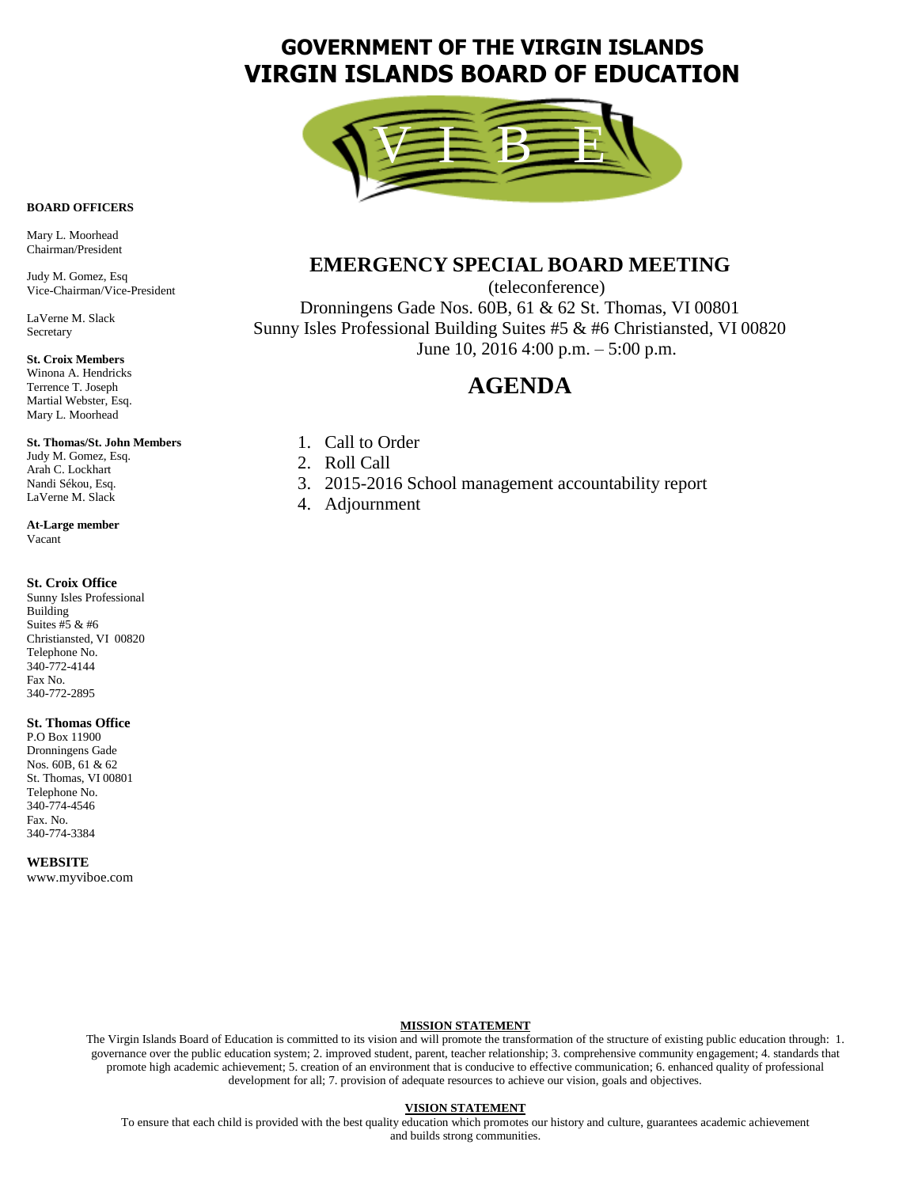# **GOVERNMENT OF THE VIRGIN ISLANDS VIRGIN ISLANDS BOARD OF EDUCATION**



## **BOARD OFFICERS**

Mary L. Moorhead Chairman/President

Judy M. Gomez, Esq Vice-Chairman/Vice-President

LaVerne M. Slack **Secretary** 

#### **St. Croix Members**

Winona A. Hendricks Terrence T. Joseph Martial Webster, Esq. Mary L. Moorhead

#### **St. Thomas/St. John Members**

Judy M. Gomez, Esq. Arah C. Lockhart Nandi Sékou, Esq. LaVerne M. Slack

**At-Large member** Vacant

#### **St. Croix Office**

Sunny Isles Professional Building Suites #5 & #6 Christiansted, VI 00820 Telephone No. 340-772-4144 Fax No. 340-772-2895

#### **St. Thomas Office**

P.O Box 11900 Dronningens Gade Nos. 60B, 61 & 62 St. Thomas, VI 00801 Telephone No. 340-774-4546 Fax. No. 340-774-3384

**WEBSITE**

www.myviboe.com

## **EMERGENCY SPECIAL BOARD MEETING**

(teleconference) Dronningens Gade Nos. 60B, 61 & 62 St. Thomas, VI 00801 Sunny Isles Professional Building Suites #5 & #6 Christiansted, VI 00820 June 10, 2016 4:00 p.m. – 5:00 p.m.

## **AGENDA**

- 1. Call to Order
- 2. Roll Call
- 3. 2015-2016 School management accountability report
- 4. Adjournment

#### **MISSION STATEMENT**

The Virgin Islands Board of Education is committed to its vision and will promote the transformation of the structure of existing public education through: 1. governance over the public education system; 2. improved student, parent, teacher relationship; 3. comprehensive community engagement; 4. standards that promote high academic achievement; 5. creation of an environment that is conducive to effective communication; 6. enhanced quality of professional development for all; 7. provision of adequate resources to achieve our vision, goals and objectives.

### **VISION STATEMENT**

To ensure that each child is provided with the best quality education which promotes our history and culture, guarantees academic achievement and builds strong communities.